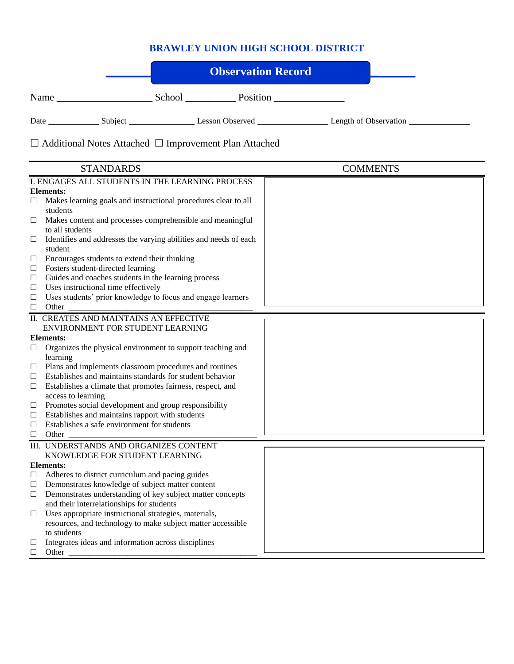## **BRAWLEY UNION HIGH SCHOOL DISTRICT**

ź

|        |                                                                                                        | <b>Observation Record</b>                                         |                 |  |
|--------|--------------------------------------------------------------------------------------------------------|-------------------------------------------------------------------|-----------------|--|
|        |                                                                                                        |                                                                   |                 |  |
|        |                                                                                                        |                                                                   |                 |  |
|        |                                                                                                        | $\Box$ Additional Notes Attached $\Box$ Improvement Plan Attached |                 |  |
|        | <b>STANDARDS</b>                                                                                       |                                                                   | <b>COMMENTS</b> |  |
|        | I. ENGAGES ALL STUDENTS IN THE LEARNING PROCESS                                                        |                                                                   |                 |  |
|        | Elements:                                                                                              |                                                                   |                 |  |
| $\Box$ | Makes learning goals and instructional procedures clear to all<br>students                             |                                                                   |                 |  |
| □      | Makes content and processes comprehensible and meaningful<br>to all students                           |                                                                   |                 |  |
| ப      | student                                                                                                | Identifies and addresses the varying abilities and needs of each  |                 |  |
| $\Box$ | Encourages students to extend their thinking                                                           |                                                                   |                 |  |
| $\Box$ | Fosters student-directed learning                                                                      |                                                                   |                 |  |
| $\Box$ | Guides and coaches students in the learning process                                                    |                                                                   |                 |  |
| Ц      | Uses instructional time effectively                                                                    |                                                                   |                 |  |
| ப      | Uses students' prior knowledge to focus and engage learners                                            |                                                                   |                 |  |
| $\Box$ | Other                                                                                                  |                                                                   |                 |  |
|        | II. CREATES AND MAINTAINS AN EFFECTIVE                                                                 |                                                                   |                 |  |
|        | ENVIRONMENT FOR STUDENT LEARNING                                                                       |                                                                   |                 |  |
|        | Elements:                                                                                              |                                                                   |                 |  |
| ப      | Organizes the physical environment to support teaching and                                             |                                                                   |                 |  |
|        | learning<br>$\Box$ Plans and implements classroom procedures and routines                              |                                                                   |                 |  |
| □      | Establishes and maintains standards for student behavior                                               |                                                                   |                 |  |
| $\Box$ | Establishes a climate that promotes fairness, respect, and                                             |                                                                   |                 |  |
|        | access to learning                                                                                     |                                                                   |                 |  |
| Ц      | Promotes social development and group responsibility                                                   |                                                                   |                 |  |
| $\Box$ | Establishes and maintains rapport with students                                                        |                                                                   |                 |  |
| $\Box$ | Establishes a safe environment for students                                                            |                                                                   |                 |  |
| $\Box$ | Other                                                                                                  |                                                                   |                 |  |
|        | III. UNDERSTANDS AND ORGANIZES CONTENT                                                                 |                                                                   |                 |  |
|        | KNOWLEDGE FOR STUDENT LEARNING                                                                         |                                                                   |                 |  |
|        | <b>Elements:</b>                                                                                       |                                                                   |                 |  |
| $\Box$ | Adheres to district curriculum and pacing guides                                                       |                                                                   |                 |  |
| $\Box$ | Demonstrates knowledge of subject matter content                                                       |                                                                   |                 |  |
| □      | Demonstrates understanding of key subject matter concepts<br>and their interrelationships for students |                                                                   |                 |  |
| $\Box$ | Uses appropriate instructional strategies, materials,                                                  |                                                                   |                 |  |
|        | resources, and technology to make subject matter accessible                                            |                                                                   |                 |  |
|        | to students                                                                                            |                                                                   |                 |  |
| $\Box$ | Integrates ideas and information across disciplines                                                    |                                                                   |                 |  |
| □      | Other                                                                                                  |                                                                   |                 |  |
|        |                                                                                                        |                                                                   |                 |  |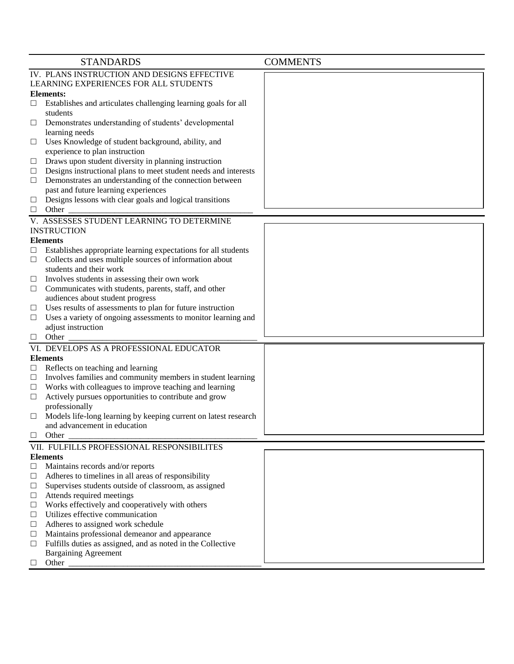|             | <b>STANDARDS</b>                                                                                 | <b>COMMENTS</b> |  |  |  |
|-------------|--------------------------------------------------------------------------------------------------|-----------------|--|--|--|
|             | IV. PLANS INSTRUCTION AND DESIGNS EFFECTIVE                                                      |                 |  |  |  |
|             | LEARNING EXPERIENCES FOR ALL STUDENTS                                                            |                 |  |  |  |
|             | <b>Elements:</b>                                                                                 |                 |  |  |  |
| $\Box$      | Establishes and articulates challenging learning goals for all                                   |                 |  |  |  |
|             | students                                                                                         |                 |  |  |  |
| □           | Demonstrates understanding of students' developmental                                            |                 |  |  |  |
|             | learning needs                                                                                   |                 |  |  |  |
| □           | Uses Knowledge of student background, ability, and                                               |                 |  |  |  |
|             | experience to plan instruction                                                                   |                 |  |  |  |
| $\Box$      | Draws upon student diversity in planning instruction                                             |                 |  |  |  |
| $\Box$      | Designs instructional plans to meet student needs and interests                                  |                 |  |  |  |
| $\Box$      | Demonstrates an understanding of the connection between                                          |                 |  |  |  |
|             | past and future learning experiences                                                             |                 |  |  |  |
| ப           | Designs lessons with clear goals and logical transitions                                         |                 |  |  |  |
| $\Box$      | Other                                                                                            |                 |  |  |  |
|             | V. ASSESSES STUDENT LEARNING TO DETERMINE                                                        |                 |  |  |  |
|             | <b>INSTRUCTION</b>                                                                               |                 |  |  |  |
|             | <b>Elements</b>                                                                                  |                 |  |  |  |
| ப           | Establishes appropriate learning expectations for all students                                   |                 |  |  |  |
| $\Box$      | Collects and uses multiple sources of information about                                          |                 |  |  |  |
|             | students and their work                                                                          |                 |  |  |  |
| ⊔           | Involves students in assessing their own work                                                    |                 |  |  |  |
| $\Box$      | Communicates with students, parents, staff, and other                                            |                 |  |  |  |
|             | audiences about student progress                                                                 |                 |  |  |  |
| ப           | Uses results of assessments to plan for future instruction                                       |                 |  |  |  |
| ⊔           | Uses a variety of ongoing assessments to monitor learning and                                    |                 |  |  |  |
|             | adjust instruction<br>Other                                                                      |                 |  |  |  |
| $\Box$      | VI. DEVELOPS AS A PROFESSIONAL EDUCATOR                                                          |                 |  |  |  |
|             |                                                                                                  |                 |  |  |  |
|             | <b>Elements</b>                                                                                  |                 |  |  |  |
| ப<br>$\Box$ | Reflects on teaching and learning<br>Involves families and community members in student learning |                 |  |  |  |
| $\Box$      | Works with colleagues to improve teaching and learning                                           |                 |  |  |  |
| $\Box$      | Actively pursues opportunities to contribute and grow                                            |                 |  |  |  |
|             | professionally                                                                                   |                 |  |  |  |
| ⊔           | Models life-long learning by keeping current on latest research                                  |                 |  |  |  |
|             | and advancement in education                                                                     |                 |  |  |  |
| $\Box$      | Other                                                                                            |                 |  |  |  |
|             | VII. FULFILLS PROFESSIONAL RESPONSIBILITES                                                       |                 |  |  |  |
|             | <b>Elements</b>                                                                                  |                 |  |  |  |
| $\Box$      | Maintains records and/or reports                                                                 |                 |  |  |  |
| $\Box$      | Adheres to timelines in all areas of responsibility                                              |                 |  |  |  |
| $\Box$      | Supervises students outside of classroom, as assigned                                            |                 |  |  |  |
| $\Box$      | Attends required meetings                                                                        |                 |  |  |  |
| $\Box$      | Works effectively and cooperatively with others                                                  |                 |  |  |  |
| $\Box$      | Utilizes effective communication                                                                 |                 |  |  |  |
| Ц           | Adheres to assigned work schedule                                                                |                 |  |  |  |
| Ц           | Maintains professional demeanor and appearance                                                   |                 |  |  |  |
| $\Box$      | Fulfills duties as assigned, and as noted in the Collective                                      |                 |  |  |  |
|             | <b>Bargaining Agreement</b>                                                                      |                 |  |  |  |
| $\Box$      | Other                                                                                            |                 |  |  |  |